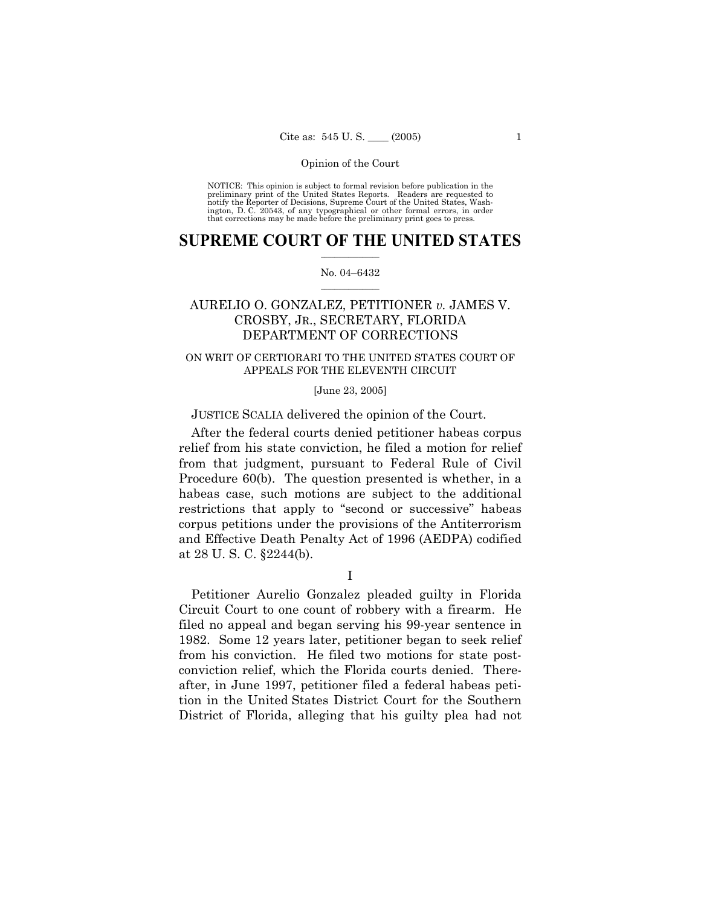NOTICE: This opinion is subject to formal revision before publication in the preliminary print of the United States Reports. Readers are requested to notify the Reporter of Decisions, Supreme Court of the United States, Washington, D. C. 20543, of any typographical or other formal errors, in order that corrections may be made before the preliminary print goes to press.

### **SUPREME COURT OF THE UNITED STATES**  $\frac{1}{2}$  ,  $\frac{1}{2}$  ,  $\frac{1}{2}$  ,  $\frac{1}{2}$  ,  $\frac{1}{2}$  ,  $\frac{1}{2}$  ,  $\frac{1}{2}$

#### No. 04-6432  $\mathcal{L}=\mathcal{L}$

# AURELIO O. GONZALEZ, PETITIONER *v.* JAMES V. CROSBY, JR., SECRETARY, FLORIDA DEPARTMENT OF CORRECTIONS

## ON WRIT OF CERTIORARI TO THE UNITED STATES COURT OF APPEALS FOR THE ELEVENTH CIRCUIT

### [June 23, 2005]

## JUSTICE SCALIA delivered the opinion of the Court.

 After the federal courts denied petitioner habeas corpus relief from his state conviction, he filed a motion for relief from that judgment, pursuant to Federal Rule of Civil Procedure 60(b). The question presented is whether, in a habeas case, such motions are subject to the additional restrictions that apply to "second or successive" habeas corpus petitions under the provisions of the Antiterrorism and Effective Death Penalty Act of 1996 (AEDPA) codified at 28 U. S. C. ß2244(b).

I

 Petitioner Aurelio Gonzalez pleaded guilty in Florida Circuit Court to one count of robbery with a firearm. He filed no appeal and began serving his 99-year sentence in 1982. Some 12 years later, petitioner began to seek relief from his conviction. He filed two motions for state postconviction relief, which the Florida courts denied. Thereafter, in June 1997, petitioner filed a federal habeas petition in the United States District Court for the Southern District of Florida, alleging that his guilty plea had not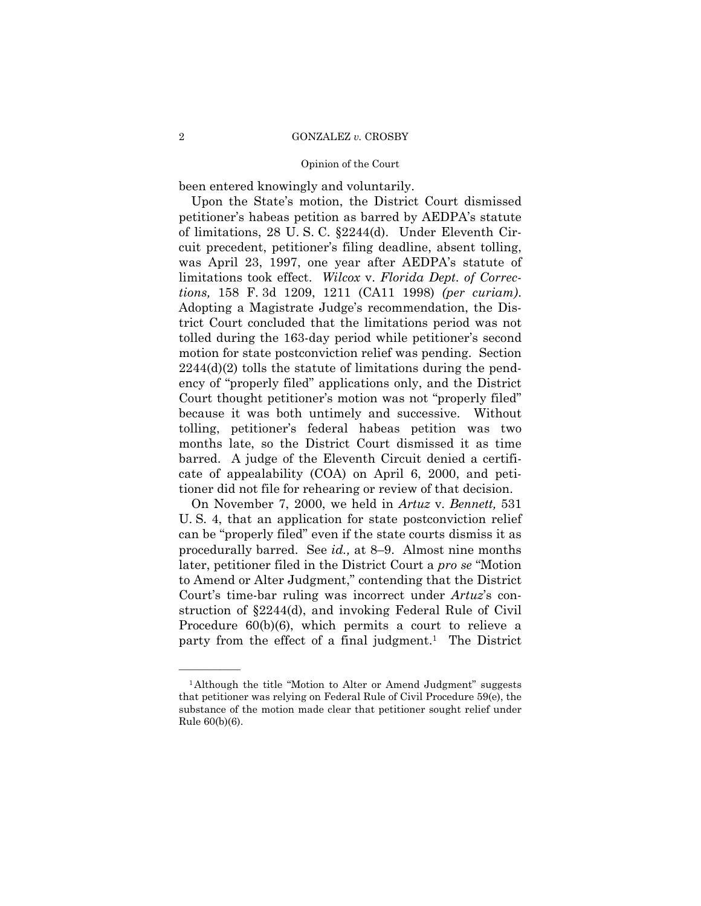been entered knowingly and voluntarily.

 Upon the Stateís motion, the District Court dismissed petitioner's habeas petition as barred by AEDPA's statute of limitations, 28 U. S. C. ß2244(d). Under Eleventh Circuit precedent, petitioner's filing deadline, absent tolling, was April 23, 1997, one year after AEDPA's statute of limitations took effect. *Wilcox* v. *Florida Dept. of Corrections,* 158 F. 3d 1209, 1211 (CA11 1998) *(per curiam)*. Adopting a Magistrate Judge's recommendation, the District Court concluded that the limitations period was not tolled during the 163-day period while petitioner's second motion for state postconviction relief was pending. Section  $2244(d)(2)$  tolls the statute of limitations during the pendency of "properly filed" applications only, and the District Court thought petitioner's motion was not "properly filed" because it was both untimely and successive. Without tolling, petitionerís federal habeas petition was two months late, so the District Court dismissed it as time barred. A judge of the Eleventh Circuit denied a certificate of appealability (COA) on April 6, 2000, and petitioner did not file for rehearing or review of that decision.

 On November 7, 2000, we held in *Artuz* v. *Bennett,* 531 U. S. 4, that an application for state postconviction relief can be "properly filed" even if the state courts dismiss it as procedurally barred. See *id.*, at 8–9. Almost nine months later, petitioner filed in the District Court a *pro se* "Motion" to Amend or Alter Judgment," contending that the District Court's time-bar ruling was incorrect under *Artuz*'s construction of ß2244(d), and invoking Federal Rule of Civil Procedure 60(b)(6), which permits a court to relieve a party from the effect of a final judgment.<sup>1</sup> The District

<sup>&</sup>lt;sup>1</sup>Although the title "Motion to Alter or Amend Judgment" suggests that petitioner was relying on Federal Rule of Civil Procedure 59(e), the substance of the motion made clear that petitioner sought relief under Rule 60(b)(6).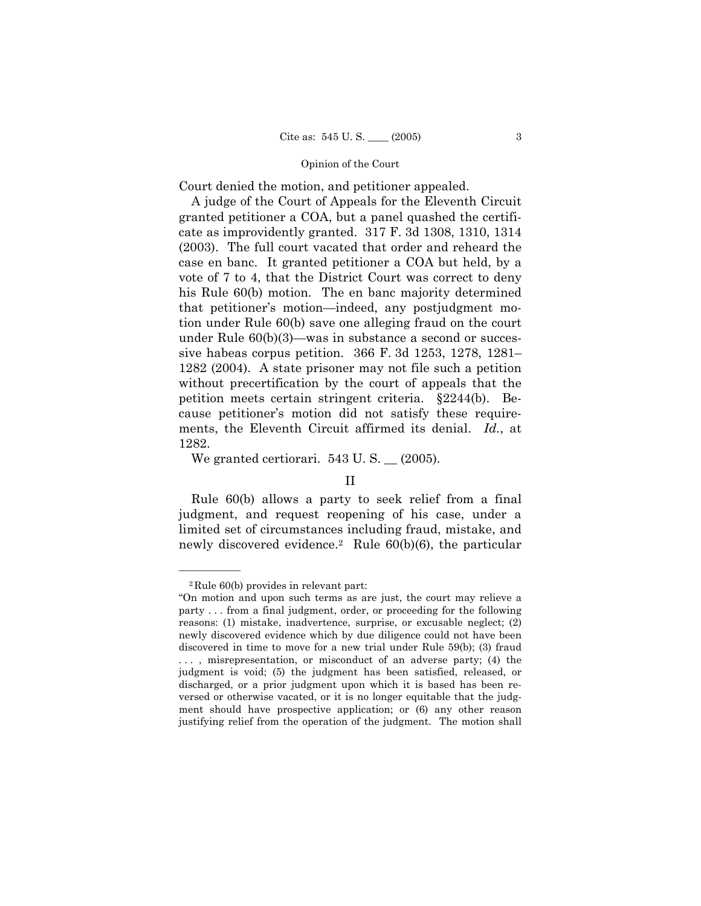Court denied the motion, and petitioner appealed.

 A judge of the Court of Appeals for the Eleventh Circuit granted petitioner a COA, but a panel quashed the certificate as improvidently granted. 317 F. 3d 1308, 1310, 1314 (2003). The full court vacated that order and reheard the case en banc. It granted petitioner a COA but held, by a vote of 7 to 4, that the District Court was correct to deny his Rule 60(b) motion. The en banc majority determined that petitioner's motion—indeed, any postjudgment motion under Rule 60(b) save one alleging fraud on the court under Rule  $60(b)(3)$ —was in substance a second or successive habeas corpus petition.  $366$  F. 3d  $1253$ ,  $1278$ ,  $1281$ – 1282 (2004). A state prisoner may not file such a petition without precertification by the court of appeals that the petition meets certain stringent criteria. ß2244(b). Because petitionerís motion did not satisfy these requirements, the Eleventh Circuit affirmed its denial. *Id.*, at 1282.

We granted certiorari.  $543 \text{ U.S.}$   $\_$  (2005).

## II

 Rule 60(b) allows a party to seek relief from a final judgment, and request reopening of his case, under a limited set of circumstances including fraud, mistake, and newly discovered evidence.<sup>2</sup> Rule  $60(b)(6)$ , the particular

<sup>2</sup>Rule 60(b) provides in relevant part:

ìOn motion and upon such terms as are just, the court may relieve a party . . . from a final judgment, order, or proceeding for the following reasons: (1) mistake, inadvertence, surprise, or excusable neglect; (2) newly discovered evidence which by due diligence could not have been discovered in time to move for a new trial under Rule 59(b); (3) fraud ..., misrepresentation, or misconduct of an adverse party; (4) the judgment is void; (5) the judgment has been satisfied, released, or discharged, or a prior judgment upon which it is based has been reversed or otherwise vacated, or it is no longer equitable that the judgment should have prospective application; or (6) any other reason justifying relief from the operation of the judgment. The motion shall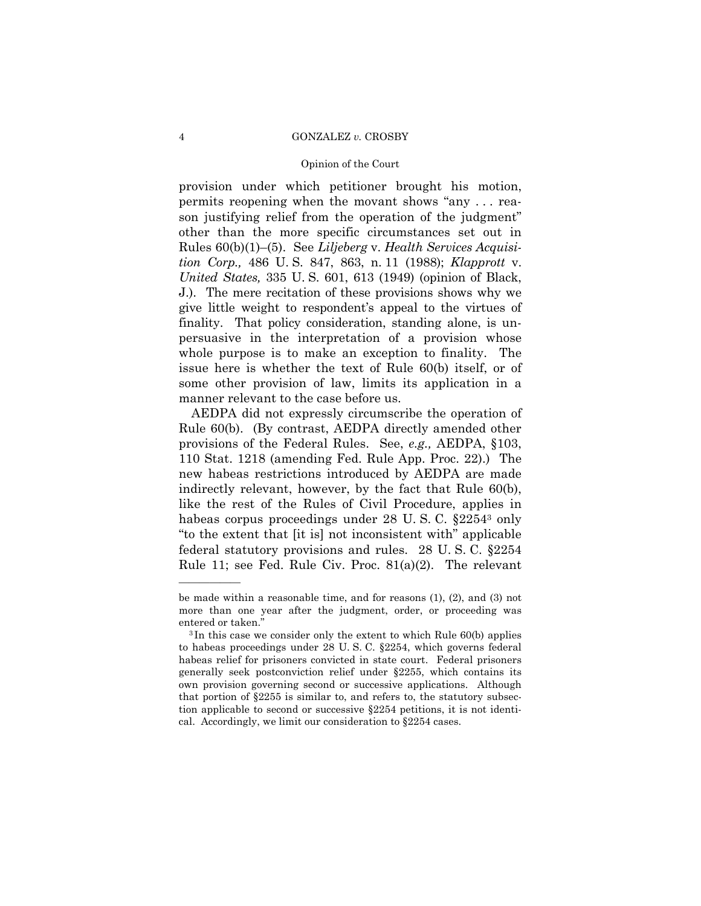#### Opinion of the Court

provision under which petitioner brought his motion, permits reopening when the movant shows "any  $\dots$  reason justifying relief from the operation of the judgment" other than the more specific circumstances set out in Rules 60(b)(1)–(5). See *Liljeberg* v. *Health Services Acquisition Corp.,* 486 U. S. 847, 863, n. 11 (1988); *Klapprott* v. *United States,* 335 U. S. 601, 613 (1949) (opinion of Black, J.). The mere recitation of these provisions shows why we give little weight to respondentís appeal to the virtues of finality. That policy consideration, standing alone, is unpersuasive in the interpretation of a provision whose whole purpose is to make an exception to finality. The issue here is whether the text of Rule 60(b) itself, or of some other provision of law, limits its application in a manner relevant to the case before us.

 AEDPA did not expressly circumscribe the operation of Rule 60(b). (By contrast, AEDPA directly amended other provisions of the Federal Rules. See, *e.g.,* AEDPA, ß103, 110 Stat. 1218 (amending Fed. Rule App. Proc. 22).) The new habeas restrictions introduced by AEDPA are made indirectly relevant, however, by the fact that Rule 60(b), like the rest of the Rules of Civil Procedure, applies in habeas corpus proceedings under 28 U.S.C.  $\S 2254^3$  only "to the extent that [it is] not inconsistent with" applicable federal statutory provisions and rules. 28 U. S. C. ß2254 Rule 11; see Fed. Rule Civ. Proc. 81(a)(2). The relevant

be made within a reasonable time, and for reasons (1), (2), and (3) not more than one year after the judgment, order, or proceeding was entered or taken."<br><sup>3</sup> In this case we consider only the extent to which Rule 60(b) applies

to habeas proceedings under 28 U. S. C. ß2254, which governs federal habeas relief for prisoners convicted in state court. Federal prisoners generally seek postconviction relief under ß2255, which contains its own provision governing second or successive applications. Although that portion of  $\S2255$  is similar to, and refers to, the statutory subsection applicable to second or successive ß2254 petitions, it is not identical. Accordingly, we limit our consideration to  $§2254$  cases.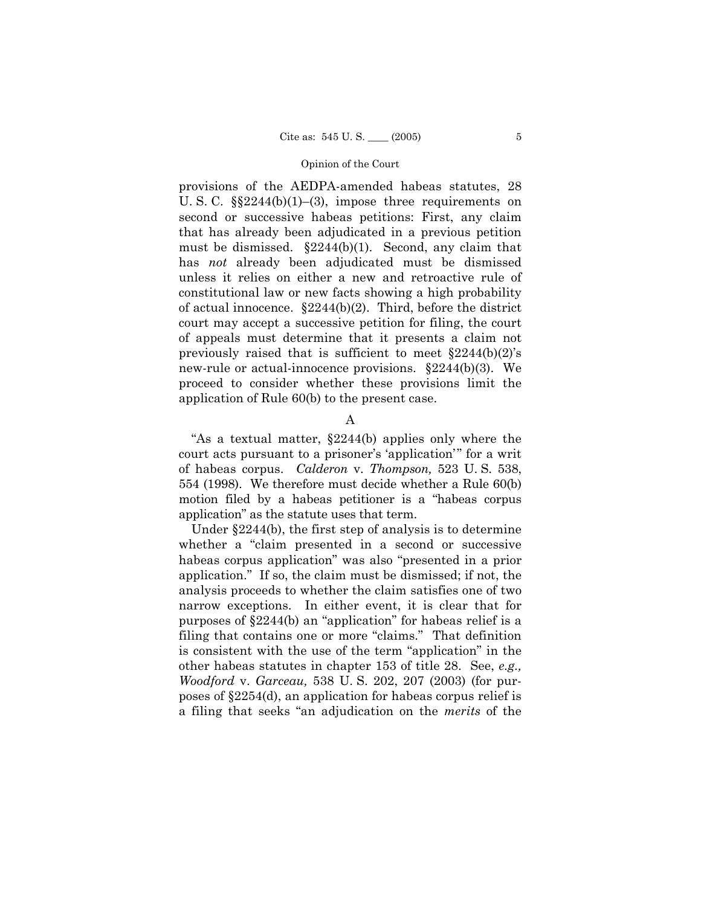provisions of the AEDPA-amended habeas statutes, 28 U. S. C.  $\S$  $2244(b)(1)–(3)$ , impose three requirements on second or successive habeas petitions: First, any claim that has already been adjudicated in a previous petition must be dismissed. ß2244(b)(1). Second, any claim that has *not* already been adjudicated must be dismissed unless it relies on either a new and retroactive rule of constitutional law or new facts showing a high probability of actual innocence. ß2244(b)(2). Third, before the district court may accept a successive petition for filing, the court of appeals must determine that it presents a claim not previously raised that is sufficient to meet  $\S 2244(b)(2)$ 's new-rule or actual-innocence provisions. ß2244(b)(3). We proceed to consider whether these provisions limit the application of Rule 60(b) to the present case.

A

"As a textual matter,  $\S2244(b)$  applies only where the court acts pursuant to a prisoner's 'application'" for a writ of habeas corpus. *Calderon* v. *Thompson,* 523 U. S. 538, 554 (1998). We therefore must decide whether a Rule 60(b) motion filed by a habeas petitioner is a "habeas corpus" applicationî as the statute uses that term.

Under  $\{2244(b)$ , the first step of analysis is to determine whether a "claim presented in a second or successive habeas corpus application" was also "presented in a prior application.î If so, the claim must be dismissed; if not, the analysis proceeds to whether the claim satisfies one of two narrow exceptions. In either event, it is clear that for purposes of  $\S2244(b)$  an "application" for habeas relief is a filing that contains one or more "claims." That definition is consistent with the use of the term "application" in the other habeas statutes in chapter 153 of title 28. See, *e.g., Woodford* v. *Garceau,* 538 U. S. 202, 207 (2003) (for purposes of ß2254(d), an application for habeas corpus relief is a filing that seeks "an adjudication on the *merits* of the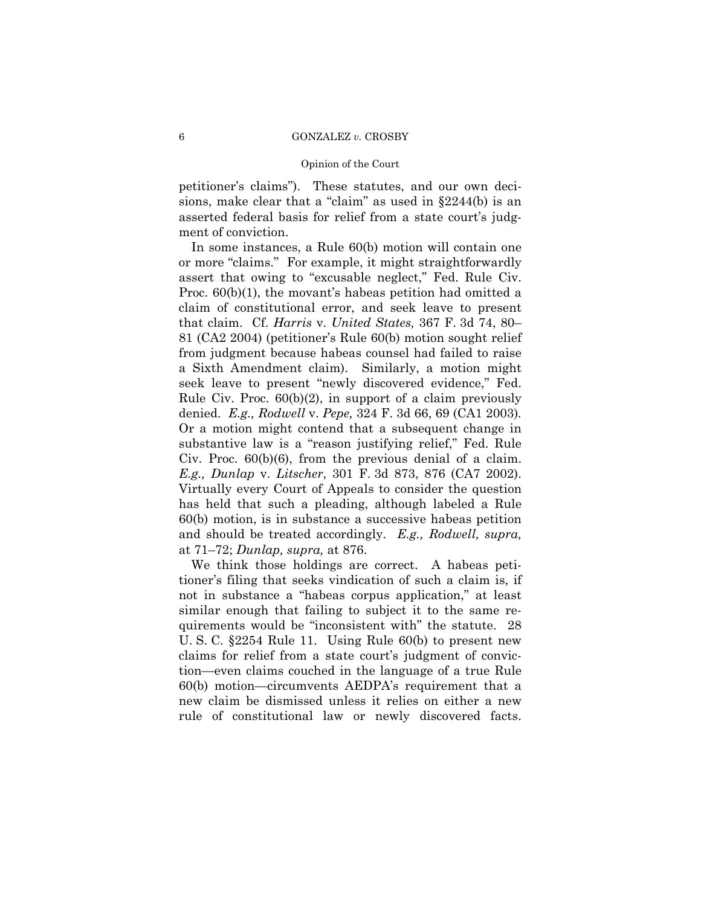#### Opinion of the Court

petitioner's claims"). These statutes, and our own decisions, make clear that a "claim" as used in  $§2244(b)$  is an asserted federal basis for relief from a state court's judgment of conviction.

 In some instances, a Rule 60(b) motion will contain one or more "claims." For example, it might straightforwardly assert that owing to "excusable neglect," Fed. Rule Civ. Proc.  $60(b)(1)$ , the movant's habeas petition had omitted a claim of constitutional error, and seek leave to present that claim. Cf. *Harris* v. *United States*, 367 F. 3d 74, 80– 81 (CA2 2004) (petitionerís Rule 60(b) motion sought relief from judgment because habeas counsel had failed to raise a Sixth Amendment claim). Similarly, a motion might seek leave to present "newly discovered evidence," Fed. Rule Civ. Proc. 60(b)(2), in support of a claim previously denied. *E.g., Rodwell* v. *Pepe,* 324 F. 3d 66, 69 (CA1 2003)*.* Or a motion might contend that a subsequent change in substantive law is a "reason justifying relief," Fed. Rule Civ. Proc. 60(b)(6), from the previous denial of a claim. *E.g., Dunlap* v. *Litscher*, 301 F. 3d 873, 876 (CA7 2002). Virtually every Court of Appeals to consider the question has held that such a pleading, although labeled a Rule 60(b) motion, is in substance a successive habeas petition and should be treated accordingly. *E.g., Rodwell, supra,* at 71–72; *Dunlap, supra,* at 876.

 We think those holdings are correct. A habeas petitioner's filing that seeks vindication of such a claim is, if not in substance a "habeas corpus application," at least similar enough that failing to subject it to the same requirements would be "inconsistent with" the statute. 28 U. S. C. ß2254 Rule 11. Using Rule 60(b) to present new claims for relief from a state court's judgment of conviction—even claims couched in the language of a true Rule  $60(b)$  motion—circumvents AEDPA's requirement that a new claim be dismissed unless it relies on either a new rule of constitutional law or newly discovered facts.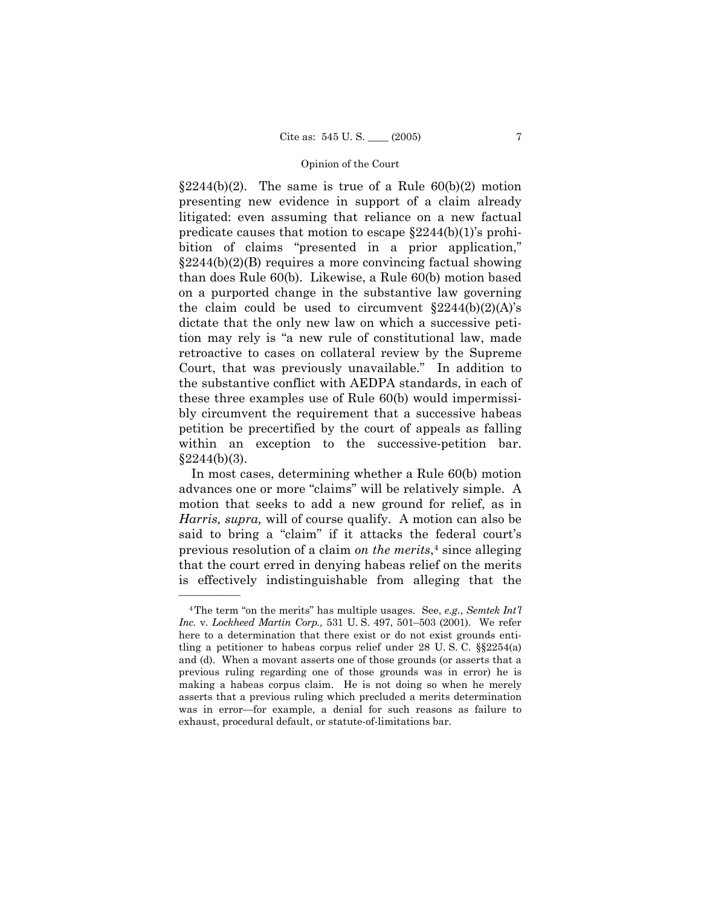$$2244(b)(2)$ . The same is true of a Rule  $60(b)(2)$  motion presenting new evidence in support of a claim already litigated: even assuming that reliance on a new factual predicate causes that motion to escape  $§2244(b)(1)$ 's prohibition of claims "presented in a prior application,"  $\S2244(b)(2)(B)$  requires a more convincing factual showing than does Rule 60(b). Likewise, a Rule 60(b) motion based on a purported change in the substantive law governing the claim could be used to circumvent  $§2244(b)(2)(A)$ <sup>'s</sup> dictate that the only new law on which a successive petition may rely is "a new rule of constitutional law, made retroactive to cases on collateral review by the Supreme Court, that was previously unavailable." In addition to the substantive conflict with AEDPA standards, in each of these three examples use of Rule 60(b) would impermissibly circumvent the requirement that a successive habeas petition be precertified by the court of appeals as falling within an exception to the successive-petition bar.  $§2244(b)(3).$ 

 In most cases, determining whether a Rule 60(b) motion advances one or more "claims" will be relatively simple. A motion that seeks to add a new ground for relief, as in *Harris, supra,* will of course qualify. A motion can also be said to bring a "claim" if it attacks the federal court's previous resolution of a claim *on the merits*,4 since alleging that the court erred in denying habeas relief on the merits is effectively indistinguishable from alleging that the

<sup>&</sup>lt;sup>4</sup>The term "on the merits" has multiple usages. See, *e.g.*, *Semtek Int'l Inc.* v. *Lockheed Martin Corp.*, 531 U. S. 497, 501-503 (2001). We refer here to a determination that there exist or do not exist grounds entitling a petitioner to habeas corpus relief under  $28$  U.S.C.  $\S$  $2254(a)$ and (d). When a movant asserts one of those grounds (or asserts that a previous ruling regarding one of those grounds was in error) he is making a habeas corpus claim. He is not doing so when he merely asserts that a previous ruling which precluded a merits determination was in error—for example, a denial for such reasons as failure to exhaust, procedural default, or statute-of-limitations bar.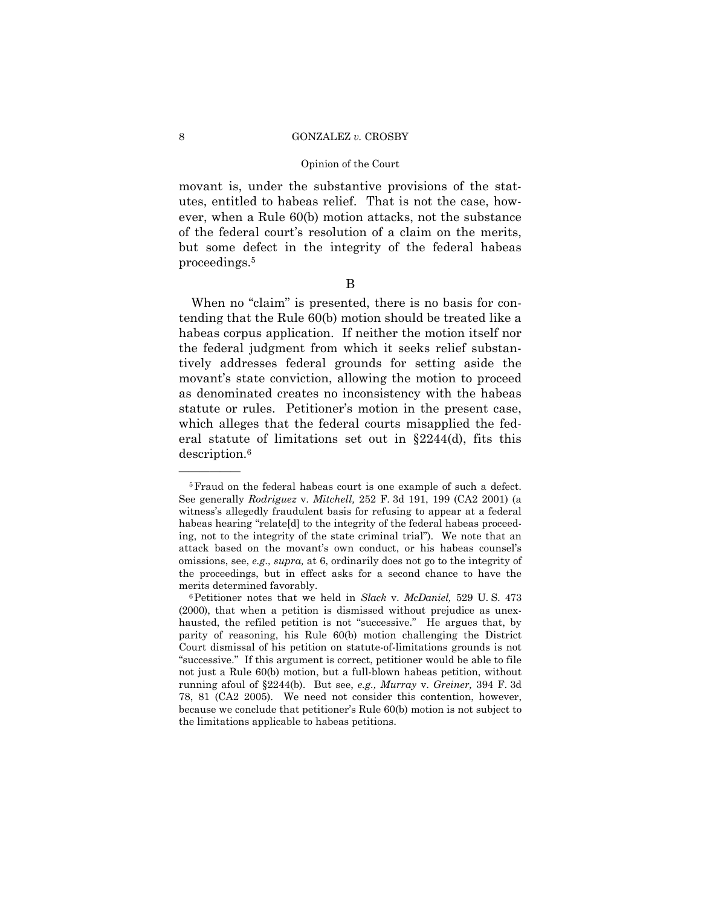#### Opinion of the Court

movant is, under the substantive provisions of the statutes, entitled to habeas relief. That is not the case, however, when a Rule 60(b) motion attacks, not the substance of the federal court's resolution of a claim on the merits, but some defect in the integrity of the federal habeas proceedings.5

B

When no "claim" is presented, there is no basis for contending that the Rule 60(b) motion should be treated like a habeas corpus application. If neither the motion itself nor the federal judgment from which it seeks relief substantively addresses federal grounds for setting aside the movant's state conviction, allowing the motion to proceed as denominated creates no inconsistency with the habeas statute or rules. Petitioner's motion in the present case, which alleges that the federal courts misapplied the federal statute of limitations set out in  $\S 2244(d)$ , fits this description.6

<sup>5</sup>Fraud on the federal habeas court is one example of such a defect. See generally *Rodriguez* v. *Mitchell,* 252 F. 3d 191, 199 (CA2 2001) (a witnessís allegedly fraudulent basis for refusing to appear at a federal habeas hearing "relate<sup>[d]</sup> to the integrity of the federal habeas proceeding, not to the integrity of the state criminal trialî). We note that an attack based on the movant's own conduct, or his habeas counsel's omissions, see, *e.g., supra,* at 6, ordinarily does not go to the integrity of the proceedings, but in effect asks for a second chance to have the merits determined favorably.<br><sup>6</sup>Petitioner notes that we held in *Slack* v. *McDaniel*, 529 U.S. 473

<sup>(2000),</sup> that when a petition is dismissed without prejudice as unexhausted, the refiled petition is not "successive." He argues that, by parity of reasoning, his Rule 60(b) motion challenging the District Court dismissal of his petition on statute-of-limitations grounds is not "successive." If this argument is correct, petitioner would be able to file not just a Rule 60(b) motion, but a full-blown habeas petition, without running afoul of ß2244(b). But see, *e.g., Murray* v. *Greiner,* 394 F. 3d 78, 81 (CA2 2005). We need not consider this contention, however, because we conclude that petitionerís Rule 60(b) motion is not subject to the limitations applicable to habeas petitions.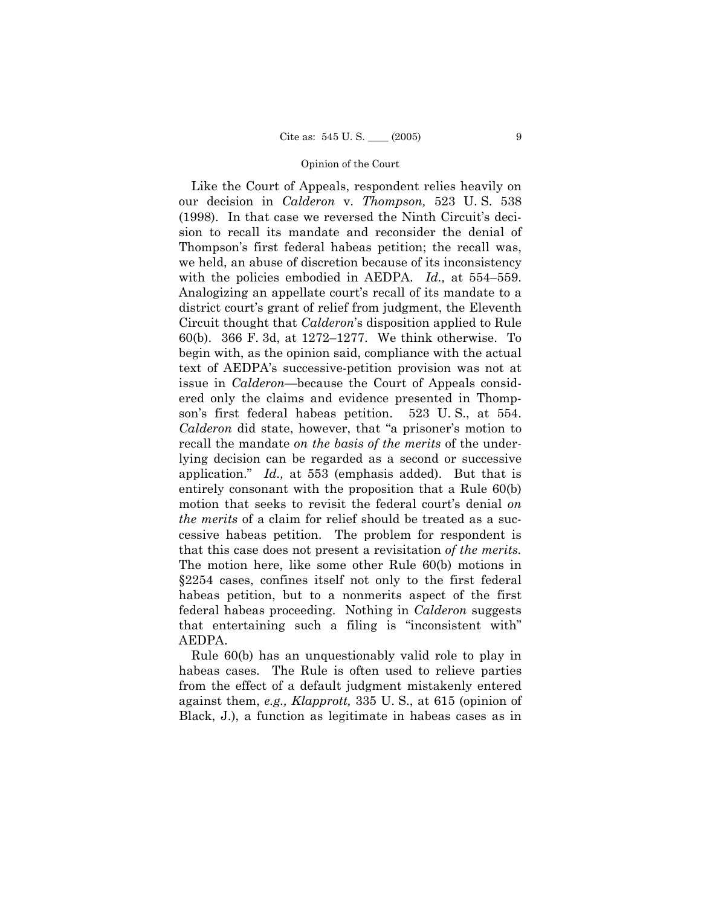Like the Court of Appeals, respondent relies heavily on our decision in *Calderon* v. *Thompson,* 523 U. S. 538  $(1998)$ . In that case we reversed the Ninth Circuit's decision to recall its mandate and reconsider the denial of Thompson's first federal habeas petition; the recall was, we held, an abuse of discretion because of its inconsistency with the policies embodied in AEDPA.  $Id.$ , at  $554-559$ . Analogizing an appellate court's recall of its mandate to a district court's grant of relief from judgment, the Eleventh Circuit thought that *Calderon*ís disposition applied to Rule 60(b). 366 F. 3d, at  $1272-1277$ . We think otherwise. To begin with, as the opinion said, compliance with the actual text of AEDPAís successive-petition provision was not at issue in *Calderon*—because the Court of Appeals considered only the claims and evidence presented in Thompson's first federal habeas petition. 523 U.S., at 554. *Calderon* did state, however, that "a prisoner's motion to recall the mandate *on the basis of the merits* of the underlying decision can be regarded as a second or successive application.î *Id.,* at 553 (emphasis added). But that is entirely consonant with the proposition that a Rule 60(b) motion that seeks to revisit the federal court's denial *on the merits* of a claim for relief should be treated as a successive habeas petition. The problem for respondent is that this case does not present a revisitation *of the merits.* The motion here, like some other Rule 60(b) motions in ß2254 cases, confines itself not only to the first federal habeas petition, but to a nonmerits aspect of the first federal habeas proceeding. Nothing in *Calderon* suggests that entertaining such a filing is "inconsistent with" AEDPA.

 Rule 60(b) has an unquestionably valid role to play in habeas cases. The Rule is often used to relieve parties from the effect of a default judgment mistakenly entered against them, *e.g., Klapprott,* 335 U. S., at 615 (opinion of Black, J.), a function as legitimate in habeas cases as in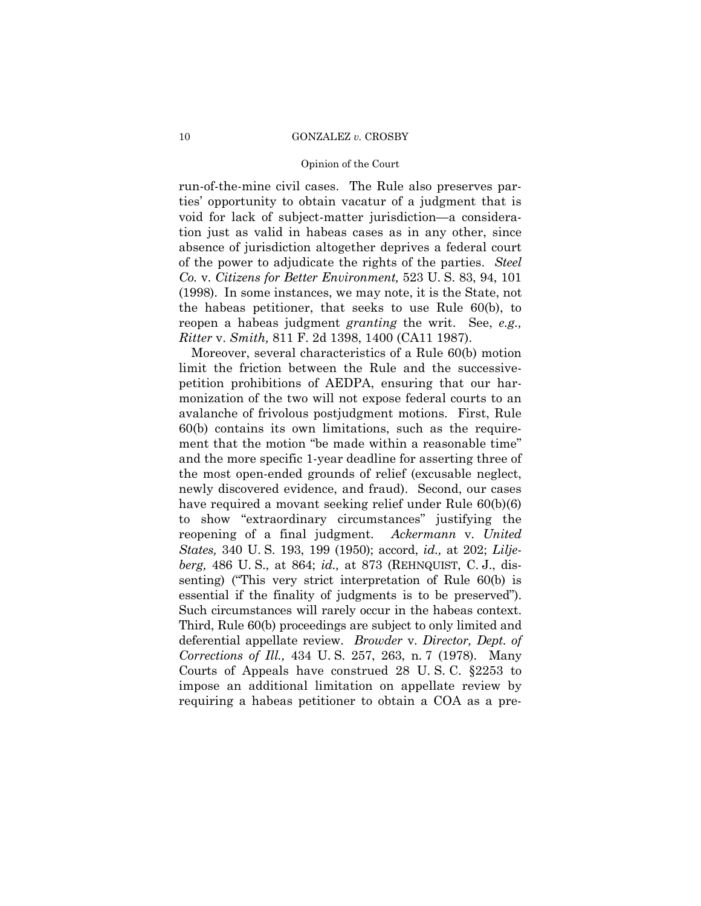#### Opinion of the Court

run-of-the-mine civil cases. The Rule also preserves partiesí opportunity to obtain vacatur of a judgment that is void for lack of subject-matter jurisdiction—a consideration just as valid in habeas cases as in any other, since absence of jurisdiction altogether deprives a federal court of the power to adjudicate the rights of the parties. *Steel Co.* v. *Citizens for Better Environment,* 523 U. S. 83, 94, 101 (1998). In some instances, we may note, it is the State, not the habeas petitioner, that seeks to use Rule 60(b), to reopen a habeas judgment *granting* the writ. See, *e.g., Ritter* v. *Smith,* 811 F. 2d 1398, 1400 (CA11 1987).

 Moreover, several characteristics of a Rule 60(b) motion limit the friction between the Rule and the successivepetition prohibitions of AEDPA, ensuring that our harmonization of the two will not expose federal courts to an avalanche of frivolous postjudgment motions. First, Rule 60(b) contains its own limitations, such as the requirement that the motion "be made within a reasonable time" and the more specific 1-year deadline for asserting three of the most open-ended grounds of relief (excusable neglect, newly discovered evidence, and fraud). Second, our cases have required a movant seeking relief under Rule 60(b)(6) to show "extraordinary circumstances" justifying the reopening of a final judgment. *Ackermann* v. *United States,* 340 U. S. 193, 199 (1950); accord, *id.,* at 202; *Liljeberg,* 486 U. S., at 864; *id.,* at 873 (REHNQUIST, C. J., dissenting) ("This very strict interpretation of Rule  $60(b)$  is essential if the finality of judgments is to be preserved". Such circumstances will rarely occur in the habeas context. Third, Rule 60(b) proceedings are subject to only limited and deferential appellate review. *Browder* v. *Director, Dept. of Corrections of Ill.,* 434 U. S. 257, 263, n. 7 (1978). Many Courts of Appeals have construed 28 U. S. C. ß2253 to impose an additional limitation on appellate review by requiring a habeas petitioner to obtain a COA as a pre-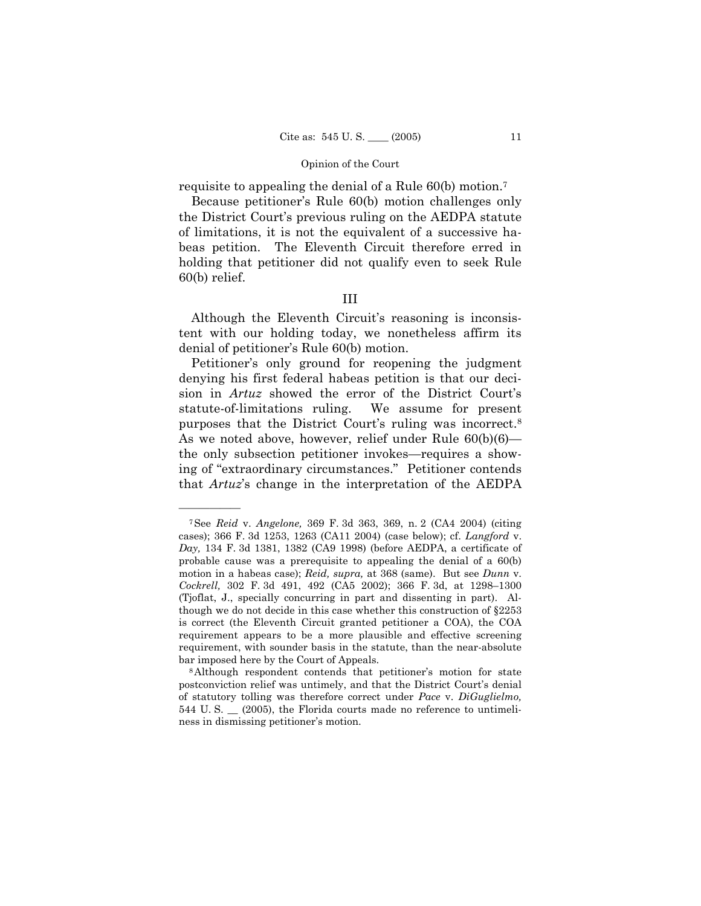requisite to appealing the denial of a Rule 60(b) motion.7

Because petitioner's Rule 60(b) motion challenges only the District Courtís previous ruling on the AEDPA statute of limitations, it is not the equivalent of a successive habeas petition. The Eleventh Circuit therefore erred in holding that petitioner did not qualify even to seek Rule 60(b) relief.

## III

Although the Eleventh Circuit's reasoning is inconsistent with our holding today, we nonetheless affirm its denial of petitioner's Rule 60(b) motion.

Petitioner's only ground for reopening the judgment denying his first federal habeas petition is that our decision in *Artuz* showed the error of the District Court's statute-of-limitations ruling. We assume for present purposes that the District Court's ruling was incorrect.<sup>8</sup> As we noted above, however, relief under Rule  $60(b)(6)$  the only subsection petitioner invokes—requires a showing of "extraordinary circumstances." Petitioner contends that *Artuz*ís change in the interpretation of the AEDPA

<sup>7</sup>See *Reid* v. *Angelone,* 369 F. 3d 363, 369, n. 2 (CA4 2004) (citing cases); 366 F. 3d 1253, 1263 (CA11 2004) (case below); cf. *Langford* v. *Day,* 134 F. 3d 1381, 1382 (CA9 1998) (before AEDPA, a certificate of probable cause was a prerequisite to appealing the denial of a 60(b) motion in a habeas case); *Reid, supra,* at 368 (same). But see *Dunn* v. *Cockrell,* 302 F. 3d 491, 492 (CA5 2002); 366 F. 3d, at 1298-1300 (Tjoflat, J., specially concurring in part and dissenting in part). Although we do not decide in this case whether this construction of ß2253 is correct (the Eleventh Circuit granted petitioner a COA), the COA requirement appears to be a more plausible and effective screening requirement, with sounder basis in the statute, than the near-absolute bar imposed here by the Court of Appeals.<br><sup>8</sup>Although respondent contends that petitioner's motion for state

postconviction relief was untimely, and that the District Court's denial of statutory tolling was therefore correct under *Pace* v. *DiGuglielmo,* 544 U. S. \_\_ (2005), the Florida courts made no reference to untimeliness in dismissing petitioner's motion.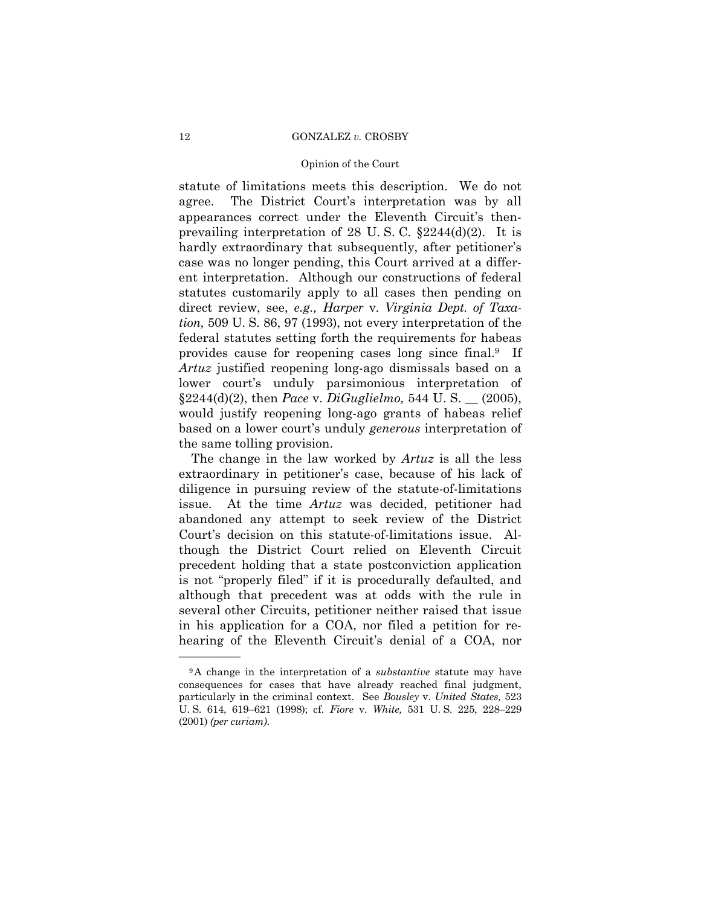#### Opinion of the Court

statute of limitations meets this description. We do not agree. The District Court's interpretation was by all appearances correct under the Eleventh Circuit's thenprevailing interpretation of 28 U.S.C.  $\S 2244(d)(2)$ . It is hardly extraordinary that subsequently, after petitioner's case was no longer pending, this Court arrived at a different interpretation. Although our constructions of federal statutes customarily apply to all cases then pending on direct review, see, *e.g., Harper* v. *Virginia Dept. of Taxation,* 509 U. S. 86, 97 (1993), not every interpretation of the federal statutes setting forth the requirements for habeas provides cause for reopening cases long since final.9 If *Artuz* justified reopening long-ago dismissals based on a lower court's unduly parsimonious interpretation of ß2244(d)(2), then *Pace* v. *DiGuglielmo,* 544 U. S. \_\_ (2005), would justify reopening long-ago grants of habeas relief based on a lower court's unduly *generous* interpretation of the same tolling provision.

 The change in the law worked by *Artuz* is all the less extraordinary in petitioner's case, because of his lack of diligence in pursuing review of the statute-of-limitations issue. At the time *Artuz* was decided, petitioner had abandoned any attempt to seek review of the District Court's decision on this statute-of-limitations issue. Although the District Court relied on Eleventh Circuit precedent holding that a state postconviction application is not "properly filed" if it is procedurally defaulted, and although that precedent was at odds with the rule in several other Circuits, petitioner neither raised that issue in his application for a COA, nor filed a petition for rehearing of the Eleventh Circuit's denial of a COA, nor

<sup>9</sup>A change in the interpretation of a *substantive* statute may have consequences for cases that have already reached final judgment, particularly in the criminal context. See *Bousley* v. *United States,* 523 U. S. 614, 619-621 (1998); cf. *Fiore* v. *White*, 531 U. S. 225, 228-229 (2001) *(per curiam)*.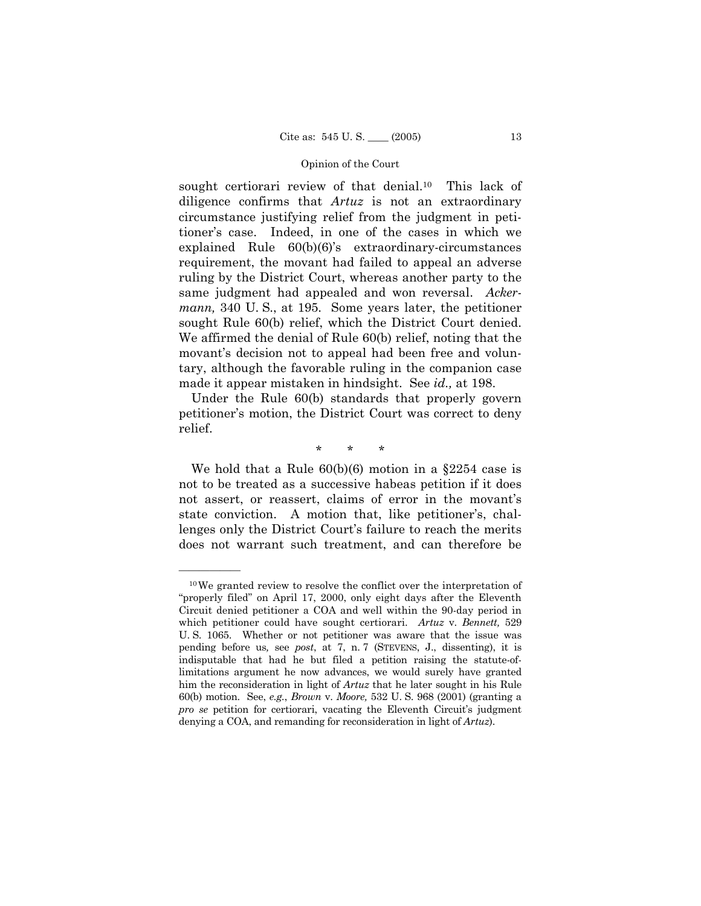sought certiorari review of that denial.<sup>10</sup> This lack of diligence confirms that *Artuz* is not an extraordinary circumstance justifying relief from the judgment in petitioner's case. Indeed, in one of the cases in which we explained Rule  $60(b)(6)$ 's extraordinary-circumstances requirement, the movant had failed to appeal an adverse ruling by the District Court, whereas another party to the same judgment had appealed and won reversal. *Ackermann,* 340 U. S., at 195. Some years later, the petitioner sought Rule 60(b) relief, which the District Court denied. We affirmed the denial of Rule 60(b) relief, noting that the movant's decision not to appeal had been free and voluntary, although the favorable ruling in the companion case made it appear mistaken in hindsight. See *id.,* at 198.

 Under the Rule 60(b) standards that properly govern petitioner's motion, the District Court was correct to deny relief.

\* \* \*

We hold that a Rule  $60(b)(6)$  motion in a  $\S 2254$  case is not to be treated as a successive habeas petition if it does not assert, or reassert, claims of error in the movant's state conviction. A motion that, like petitioner's, challenges only the District Court's failure to reach the merits does not warrant such treatment, and can therefore be

<sup>10</sup>We granted review to resolve the conflict over the interpretation of "properly filed" on April 17, 2000, only eight days after the Eleventh Circuit denied petitioner a COA and well within the 90-day period in which petitioner could have sought certiorari. *Artuz* v. *Bennett,* 529 U. S. 1065. Whether or not petitioner was aware that the issue was pending before us*,* see *post*, at 7, n. 7 (STEVENS, J., dissenting), it is indisputable that had he but filed a petition raising the statute-oflimitations argument he now advances, we would surely have granted him the reconsideration in light of *Artuz* that he later sought in his Rule 60(b) motion. See, *e.g.*, *Brown* v. *Moore,* 532 U. S. 968 (2001) (granting a *pro se* petition for certiorari, vacating the Eleventh Circuit's judgment denying a COA, and remanding for reconsideration in light of *Artuz*).